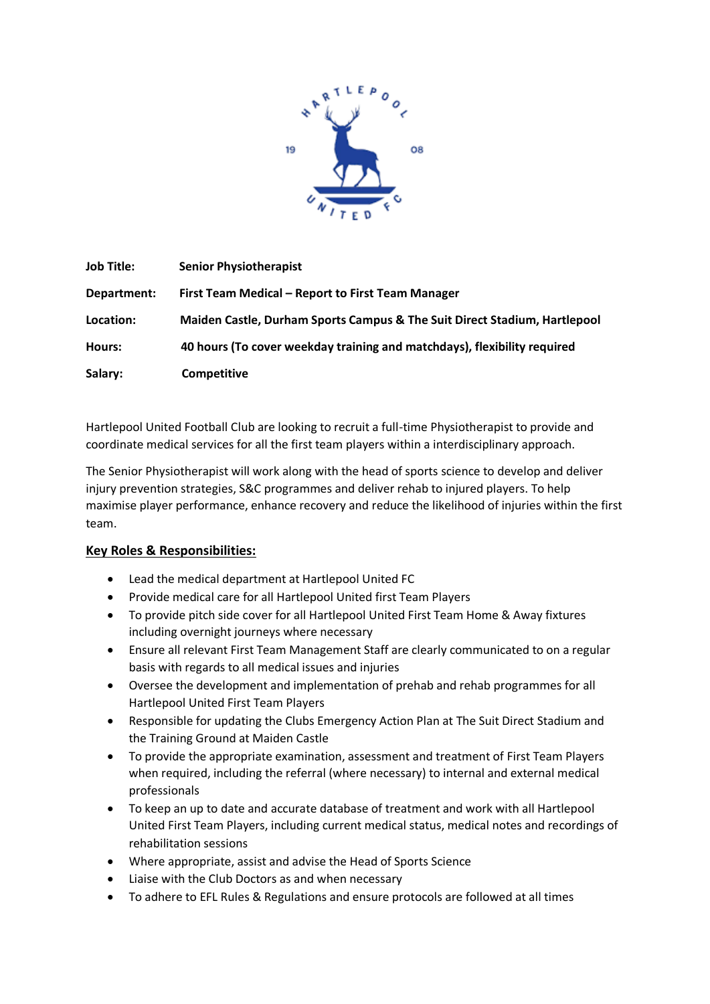

| <b>Job Title:</b> | <b>Senior Physiotherapist</b>                                             |
|-------------------|---------------------------------------------------------------------------|
| Department:       | First Team Medical - Report to First Team Manager                         |
| Location:         | Maiden Castle, Durham Sports Campus & The Suit Direct Stadium, Hartlepool |
| Hours:            | 40 hours (To cover weekday training and matchdays), flexibility required  |
| Salary:           | <b>Competitive</b>                                                        |

Hartlepool United Football Club are looking to recruit a full-time Physiotherapist to provide and coordinate medical services for all the first team players within a interdisciplinary approach.

The Senior Physiotherapist will work along with the head of sports science to develop and deliver injury prevention strategies, S&C programmes and deliver rehab to injured players. To help maximise player performance, enhance recovery and reduce the likelihood of injuries within the first team.

### **Key Roles & Responsibilities:**

- Lead the medical department at Hartlepool United FC
- Provide medical care for all Hartlepool United first Team Players
- To provide pitch side cover for all Hartlepool United First Team Home & Away fixtures including overnight journeys where necessary
- Ensure all relevant First Team Management Staff are clearly communicated to on a regular basis with regards to all medical issues and injuries
- Oversee the development and implementation of prehab and rehab programmes for all Hartlepool United First Team Players
- Responsible for updating the Clubs Emergency Action Plan at The Suit Direct Stadium and the Training Ground at Maiden Castle
- To provide the appropriate examination, assessment and treatment of First Team Players when required, including the referral (where necessary) to internal and external medical professionals
- To keep an up to date and accurate database of treatment and work with all Hartlepool United First Team Players, including current medical status, medical notes and recordings of rehabilitation sessions
- Where appropriate, assist and advise the Head of Sports Science
- Liaise with the Club Doctors as and when necessary
- To adhere to EFL Rules & Regulations and ensure protocols are followed at all times